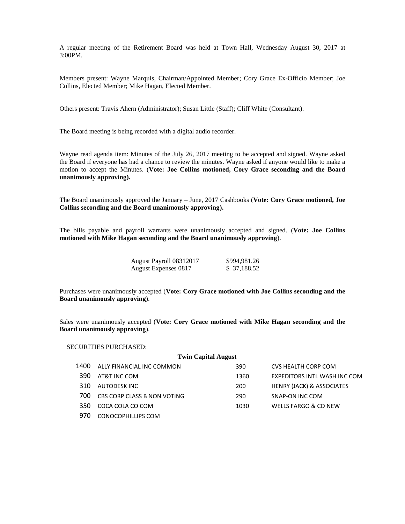A regular meeting of the Retirement Board was held at Town Hall, Wednesday August 30, 2017 at 3:00PM.

Members present: Wayne Marquis, Chairman/Appointed Member; Cory Grace Ex-Officio Member; Joe Collins, Elected Member; Mike Hagan, Elected Member.

Others present: Travis Ahern (Administrator); Susan Little (Staff); Cliff White (Consultant).

The Board meeting is being recorded with a digital audio recorder.

Wayne read agenda item: Minutes of the July 26, 2017 meeting to be accepted and signed. Wayne asked the Board if everyone has had a chance to review the minutes. Wayne asked if anyone would like to make a motion to accept the Minutes. (**Vote: Joe Collins motioned, Cory Grace seconding and the Board unanimously approving).**

The Board unanimously approved the January – June, 2017 Cashbooks (**Vote: Cory Grace motioned, Joe Collins seconding and the Board unanimously approving).**

The bills payable and payroll warrants were unanimously accepted and signed. (**Vote: Joe Collins motioned with Mike Hagan seconding and the Board unanimously approving**).

| August Payroll 08312017 | \$994,981.26 |
|-------------------------|--------------|
| August Expenses 0817    | \$ 37,188.52 |

Purchases were unanimously accepted (**Vote: Cory Grace motioned with Joe Collins seconding and the Board unanimously approving**).

Sales were unanimously accepted (**Vote: Cory Grace motioned with Mike Hagan seconding and the Board unanimously approving**).

SECURITIES PURCHASED:

| <b>Twin Capital August</b> |                             |      |                                      |  |
|----------------------------|-----------------------------|------|--------------------------------------|--|
| 1400                       | ALLY FINANCIAL INC COMMON   | 390  | CVS HEALTH CORP COM                  |  |
| 390                        | AT&T INC COM                | 1360 | EXPEDITORS INTL WASH INC COM         |  |
| 310                        | AUTODESK INC                | 200  | <b>HENRY (JACK) &amp; ASSOCIATES</b> |  |
| 700.                       | CBS CORP CLASS B NON VOTING | 290  | SNAP-ON INC COM                      |  |
| 350                        | COCA COLA CO COM            | 1030 | WELLS FARGO & CO NEW                 |  |
|                            | CONOCOPHILLIPS COM          |      |                                      |  |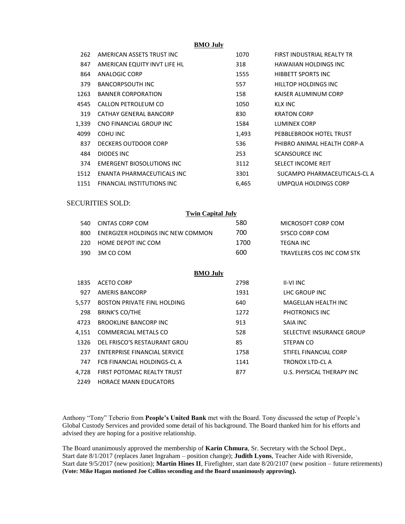**BMO July**

| 262   | AMERICAN ASSETS TRUST INC.   | 1070  | <b>FIRST INDUSTRIAL REALTY TR</b> |
|-------|------------------------------|-------|-----------------------------------|
| 847   | AMERICAN EQUITY INVT LIFE HL | 318   | HAWAIIAN HOLDINGS INC             |
| 864   | ANALOGIC CORP                | 1555  | <b>HIBBETT SPORTS INC</b>         |
| 379   | <b>BANCORPSOUTH INC</b>      | 557   | HILLTOP HOLDINGS INC              |
| 1263  | <b>BANNER CORPORATION</b>    | 158   | KAISER ALUMINUM CORP              |
| 4545  | CALLON PETROLEUM CO          | 1050  | KLX INC                           |
| 319   | CATHAY GENERAL BANCORP       | 830   | <b>KRATON CORP</b>                |
| 1,339 | CNO FINANCIAL GROUP INC      | 1584  | LUMINEX CORP                      |
| 4099  | COHU INC                     | 1,493 | PEBBLEBROOK HOTEL TRUST           |
| 837   | DECKERS OUTDOOR CORP         | 536   | PHIBRO ANIMAL HEALTH CORP-A       |
| 484   | DIODES INC                   | 253   | <b>SCANSOURCE INC</b>             |
| 374   | EMERGENT BIOSOLUTIONS INC    | 3112  | SELECT INCOME REIT                |
| 1512  | ENANTA PHARMACEUTICALS INC   | 3301  | SUCAMPO PHARMACEUTICALS-CL A      |
| 1151  | FINANCIAL INSTITUTIONS INC   | 6,465 | UMPQUA HOLDINGS CORP              |

## SECURITIES SOLD:

| <b>Twin Capital July</b> |                                   |      |                           |
|--------------------------|-----------------------------------|------|---------------------------|
| 540.                     | CINTAS CORP COM                   | 580  | MICROSOFT CORP COM        |
| 800.                     | ENERGIZER HOLDINGS INC NEW COMMON | 700  | SYSCO CORP COM            |
| 220.                     | HOME DEPOT INC COM                | 1700 | <b>TEGNA INC</b>          |
| 390.                     | 3M CO COM                         | 600  | TRAVELERS COS INC COM STK |

## **BMO July**

| 1835  | ACETO CORP                          | 2798 | <b>II-VI INC</b>          |
|-------|-------------------------------------|------|---------------------------|
| 927   | <b>AMERIS BANCORP</b>               | 1931 | LHC GROUP INC             |
| 5,577 | <b>BOSTON PRIVATE FINL HOLDING</b>  | 640  | MAGELLAN HEALTH INC       |
| 298   | <b>BRINK'S CO/THE</b>               | 1272 | PHOTRONICS INC            |
| 4723  | <b>BROOKLINE BANCORP INC</b>        | 913  | SAIA INC                  |
| 4,151 | <b>COMMERCIAL METALS CO</b>         | 528  | SELECTIVE INSURANCE GROUP |
| 1326  | DEL FRISCO'S RESTAURANT GROU        | 85   | STEPAN CO                 |
| 237   | <b>ENTERPRISE FINANCIAL SERVICE</b> | 1758 | STIFEL FINANCIAL CORP     |
| 747   | FCB FINANCIAL HOLDINGS-CL A         | 1141 | TRONOX LTD-CL A           |
| 4.728 | FIRST POTOMAC REALTY TRUST          | 877  | U.S. PHYSICAL THERAPY INC |
| 2249  | <b>HORACE MANN EDUCATORS</b>        |      |                           |

Anthony "Tony" Teberio from **People's United Bank** met with the Board. Tony discussed the setup of People's Global Custody Services and provided some detail of his background. The Board thanked him for his efforts and advised they are hoping for a positive relationship.

The Board unanimously approved the membership of **Karin Chmura**, Sr. Secretary with the School Dept., Start date 8/1/2017 (replaces Janet Ingraham – position change); **Judith Lyons**, Teacher Aide with Riverside, Start date 9/5/2017 (new position); **Martin Hines II**, Firefighter, start date 8/20/2107 (new position – future retirements) **(Vote: Mike Hagan motioned Joe Collins seconding and the Board unanimously approving).**